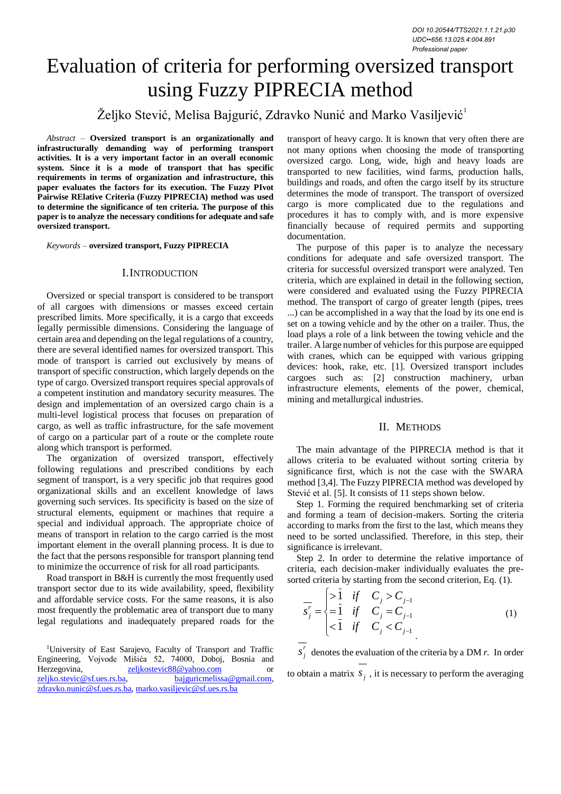# Evaluation of criteria for performing oversized transport using Fuzzy PIPRECIA method

# Željko Stević, Melisa Bajgurić, Zdravko Nunić and Marko Vasiljević<sup>1</sup>

*Abstract –* **Oversized transport is an organizationally and infrastructurally demanding way of performing transport activities. It is a very important factor in an overall economic system. Since it is a mode of transport that has specific requirements in terms of organization and infrastructure, this paper evaluates the factors for its execution. The Fuzzy PIvot Pairwise RElative Criteria (Fuzzy PIPRECIA) method was used to determine the significance of ten criteria. The purpose of this paper is to analyze the necessary conditions for adequate and safe oversized transport.**

*Keywords –* **oversized transport, Fuzzy PIPRECIA**

# I.INTRODUCTION

Oversized or special transport is considered to be transport of all cargoes with dimensions or masses exceed certain prescribed limits. More specifically, it is a cargo that exceeds legally permissible dimensions. Considering the language of certain area and depending on the legal regulations of a country, there are several identified names for oversized transport. This mode of transport is carried out exclusively by means of transport of specific construction, which largely depends on the type of cargo. Oversized transport requires special approvals of a competent institution and mandatory security measures. The design and implementation of an oversized cargo chain is a multi-level logistical process that focuses on preparation of cargo, as well as traffic infrastructure, for the safe movement of cargo on a particular part of a route or the complete route along which transport is performed.

The organization of oversized transport, effectively following regulations and prescribed conditions by each segment of transport, is a very specific job that requires good organizational skills and an excellent knowledge of laws governing such services. Its specificity is based on the size of structural elements, equipment or machines that require a special and individual approach. The appropriate choice of means of transport in relation to the cargo carried is the most important element in the overall planning process. It is due to the fact that the persons responsible for transport planning tend to minimize the occurrence of risk for all road participants.

Road transport in B&H is currently the most frequently used transport sector due to its wide availability, speed, flexibility and affordable service costs. For the same reasons, it is also most frequently the problematic area of transport due to many legal regulations and inadequately prepared roads for the

<sup>1</sup>University of East Sarajevo, Faculty of Transport and Traffic Engineering, Vojvode Mišića 52, 74000, Doboj, Bosnia and Herzegovina, [zeljkostevic88@yahoo.com](mailto:zeljkostevic88@yahoo.com) or [zeljko.stevic@sf.ues.rs.ba,](mailto:zeljko.stevic@sf.ues.rs.ba) [bajguricmelissa@gmail.com,](mailto:bajguricmelissa@gmail.com)  [zdravko.nunic@sf.ues.rs.ba,](mailto:zdravko.nunic@sf.ues.rs.ba) [marko.vasiljevic@sf.ues.rs.ba](mailto:marko.vasiljevic@sf.ues.rs.ba)

transport of heavy cargo. It is known that very often there are not many options when choosing the mode of transporting oversized cargo. Long, wide, high and heavy loads are transported to new facilities, wind farms, production halls, buildings and roads, and often the cargo itself by its structure determines the mode of transport. The transport of oversized cargo is more complicated due to the regulations and procedures it has to comply with, and is more expensive financially because of required permits and supporting documentation.

The purpose of this paper is to analyze the necessary conditions for adequate and safe oversized transport. The criteria for successful oversized transport were analyzed. Ten criteria, which are explained in detail in the following section, were considered and evaluated using the Fuzzy PIPRECIA method. The transport of cargo of greater length (pipes, trees ...) can be accomplished in a way that the load by its one end is set on a towing vehicle and by the other on a trailer. Thus, the load plays a role of a link between the towing vehicle and the trailer. A large number of vehicles for this purpose are equipped with cranes, which can be equipped with various gripping devices: hook, rake, etc. [1]. Oversized transport includes cargoes such as: [2] construction machinery, urban infrastructure elements, elements of the power, chemical, mining and metallurgical industries.

## II. METHODS

The main advantage of the PIPRECIA method is that it allows criteria to be evaluated without sorting criteria by significance first, which is not the case with the SWARA method [3,4]. The Fuzzy PIPRECIA method was developed by Stević et al. [5]. It consists of 11 steps shown below.

Step 1. Forming the required benchmarking set of criteria and forming a team of decision-makers. Sorting the criteria according to marks from the first to the last, which means they need to be sorted unclassified. Therefore, in this step, their significance is irrelevant.

Step 2. In order to determine the relative importance of criteria, each decision-maker individually evaluates the presorted criteria by starting from the second criterion, Eq. (1).

$$
\overline{s_j'} = \begin{cases}\n>1 & \text{if } C_j > C_{j-1} \\
=1 & \text{if } C_j = C_{j-1} \\
<1 & \text{if } C_j < C_{j-1}\n\end{cases}
$$
\n(1)

*r*  $s_j^r$  denotes the evaluation of the criteria by a DM *r*. In order

to obtain a matrix  $s_j$ , it is necessary to perform the averaging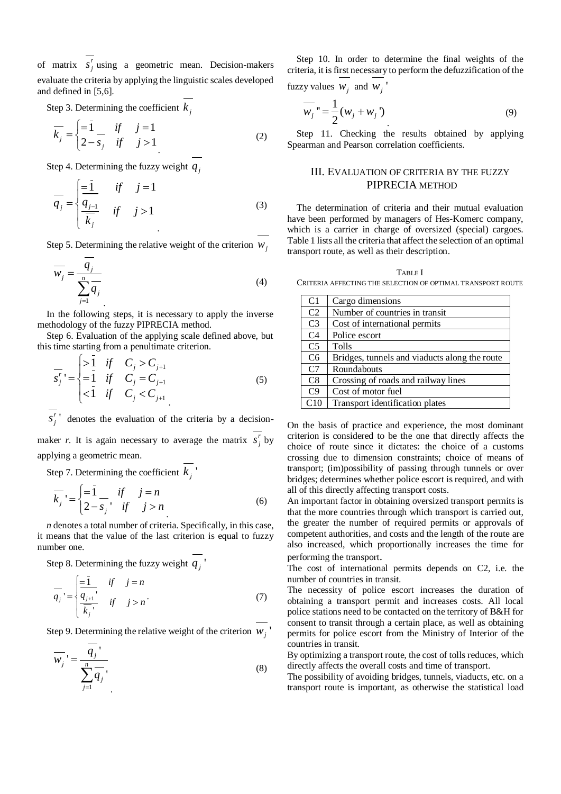of matrix  $s_i^r$  $s_j^r$  using a geometric mean. Decision-makers evaluate the criteria by applying the linguistic scales developed and defined in [5,6].

Step 3. Determining the coefficient  $k_j$ 

$$
\overline{k_j} = \begin{cases} = \overline{1} & \text{if } j = 1 \\ 2 - s_j & \text{if } j > 1 \end{cases}
$$
 (2)

Step 4. Determining the fuzzy weight  $q_j$ 

$$
\overline{q_j} = \begin{cases} \frac{-1}{q_{j-1}} & \text{if} \quad j = 1\\ \frac{q_{j-1}}{k_j} & \text{if} \quad j > 1 \end{cases} \tag{3}
$$

Step 5. Determining the relative weight of the criterion  $W_j$ 

$$
\overline{w_j} = \frac{q_j}{\sum_{j=1}^n q_j}
$$
\n(4)

In the following steps, it is necessary to apply the inverse methodology of the fuzzy PIPRECIA method.

Step 6. Evaluation of the applying scale defined above, but this time starting from a penultimate criterion.

$$
\overline{s_j'} = \begin{cases}\n>1 & \text{if } C_j > C_{j+1} \\
=1 & \text{if } C_j = C_{j+1} \\
<1 & \text{if } C_j < C_{j+1}\n\end{cases}
$$
\n(5)

' *r*  $s_j^r$  denotes the evaluation of the criteria by a decisionmaker *r*. It is again necessary to average the matrix  $s_i$  $s_j^r$  by applying a geometric mean.

Step 7. Determining the coefficient  $k_j$ <sup> $\prime$ </sup>

$$
\overline{k_j} = \begin{cases} = \overline{1} & \text{if } j = n \\ 2 - s_j & \text{if } j > n \end{cases}
$$
 (6)

*n* denotes a total number of criteria. Specifically, in this case, it means that the value of the last criterion is equal to fuzzy number one.

Step 8. Determining the fuzzy weight  $q_j$ <sup> $\prime$ </sup>

$$
\overline{q_j} = \begin{cases} \frac{-1}{q_{j+1}}, & \text{if } j = n \\ \frac{q_{j+1}}{\overline{k_j}}, & \text{if } j > n \end{cases} \tag{7}
$$

Step 9. Determining the relative weight of the criterion  $W_j$ <sup>*'*</sup>

$$
\overline{w_j}' = \frac{\overline{q_j}'}{\sum_{j=1}^n \overline{q_j}},
$$
\n(8)

Step 10. In order to determine the final weights of the criteria, it is first necessary to perform the defuzzification of the

fuzzy values  $W_j$  and  $W_j$ <sup>'</sup>

$$
\overline{w_j} = \frac{1}{2} (w_j + w_j) \tag{9}
$$

Step 11. Checking the results obtained by applying Spearman and Pearson correlation coefficients.

# III. EVALUATION OF CRITERIA BY THE FUZZY PIPRECIA METHOD

The determination of criteria and their mutual evaluation have been performed by managers of Hes-Komerc company, which is a carrier in charge of oversized (special) cargoes. Table 1 lists all the criteria that affect the selection of an optimal transport route, as well as their description.

TABLE I CRITERIA AFFECTING THE SELECTION OF OPTIMAL TRANSPORT ROUTE

| C1             | Cargo dimensions                              |
|----------------|-----------------------------------------------|
| C <sub>2</sub> | Number of countries in transit                |
| C <sub>3</sub> | Cost of international permits                 |
| C <sub>4</sub> | Police escort                                 |
| C <sub>5</sub> | Tolls                                         |
| C <sub>6</sub> | Bridges, tunnels and viaducts along the route |
| C <sub>7</sub> | Roundabouts                                   |
| C8             | Crossing of roads and railway lines           |
| C <sub>9</sub> | Cost of motor fuel                            |
| C10            | Transport identification plates               |

On the basis of practice and experience, the most dominant criterion is considered to be the one that directly affects the choice of route since it dictates: the choice of a customs crossing due to dimension constraints; choice of means of transport; (im)possibility of passing through tunnels or over bridges; determines whether police escort is required, and with all of this directly affecting transport costs.

An important factor in obtaining oversized transport permits is that the more countries through which transport is carried out, the greater the number of required permits or approvals of competent authorities, and costs and the length of the route are also increased, which proportionally increases the time for performing the transport.

The cost of international permits depends on C2, i.e. the number of countries in transit.

The necessity of police escort increases the duration of obtaining a transport permit and increases costs. All local police stations need to be contacted on the territory of B&H for consent to transit through a certain place, as well as obtaining permits for police escort from the Ministry of Interior of the countries in transit.

By optimizing a transport route, the cost of tolls reduces, which directly affects the overall costs and time of transport.

The possibility of avoiding bridges, tunnels, viaducts, etc. on a transport route is important, as otherwise the statistical load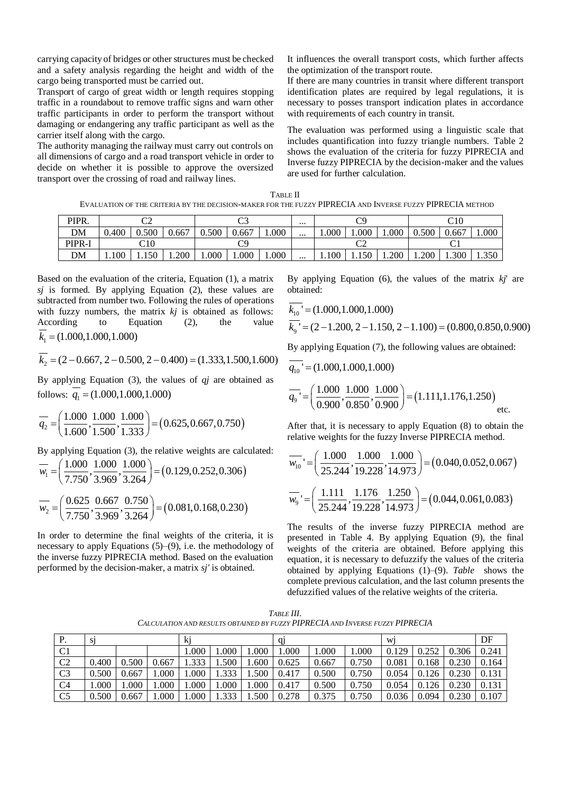carrying capacity of bridges or other structures must be checked and a safety analysis regarding the height and width of the cargo being transported must be carried out.

Transport of cargo of great width or length requires stopping traffic in a roundabout to remove traffic signs and warn other traffic participants in order to perform the transport without damaging or endangering any traffic participant as well as the carrier itself along with the cargo.

The authority managing the railway must carry out controls on all dimensions of cargo and a road transport vehicle in order to decide on whether it is possible to approve the oversized transport over the crossing of road and railway lines.

It influences the overall transport costs, which further affects the optimization of the transport route.

If there are many countries in transit where different transport identification plates are required by legal regulations, it is necessary to posses transport indication plates in accordance with requirements of each country in transit.

The evaluation was performed using a linguistic scale that includes quantification into fuzzy triangle numbers. Table 2 shows the evaluation of the criteria for fuzzy PIPRECIA and Inverse fuzzy PIPRECIA by the decision-maker and the values are used for further calculation.

TABLE II EVALUATION OF THE CRITERIA BY THE DECISION-MAKER FOR THE FUZZY PIPRECIA AND INVERSE FUZZY PIPRECIA METHOD

| PIPR.  | $\sim$<br>◡▵ |       |       | $\sim$<br>ັ |       |       | $\cdots$ | $\cap$ |       |       | C10   |       |       |
|--------|--------------|-------|-------|-------------|-------|-------|----------|--------|-------|-------|-------|-------|-------|
| DM     | 0.400        | 0.500 | 0.667 | 0.500       | 0.667 | .000  | $\cdots$ | 000.1  | .000  | .000  | 0.500 | 0.667 | 1.000 |
| PIPR-I | C10          |       |       |             |       |       |          | ◡▵     |       |       |       |       |       |
| DM     | 1.100        | 1.150 | 1.200 | 000.1       | 1.000 | 000.1 | $\cdots$ | 1.100  | 1.150 | 1.200 | 1.200 | 1.300 | 1.350 |

Based on the evaluation of the criteria, Equation (1), a matrix *sj* is formed. By applying Equation (2), these values are subtracted from number two. Following the rules of operations with fuzzy numbers, the matrix *kj* is obtained as follows: According to Equation (2), the value

$$
k_1 = (1.000, 1.000, 1.000)
$$
  

$$
\overline{k_2} = (2 - 0.667, 2 - 0.500, 2 - 0.400) = (1.333, 1.500, 1.600)
$$

By applying Equation (3), the values of *qj* are obtained as

follows: 
$$
q_1 = (1.000, 1.000, 1.000)
$$
  
\n $\overline{q_2} = \left(\frac{1.000}{1.600}, \frac{1.000}{1.500}, \frac{1.000}{1.333}\right) = (0.625, 0.667, 0.750)$ 

By applying Equation (3), the relative weights are calculated:  
\n
$$
\overline{w_1} = \left(\frac{1.000}{7.750}, \frac{1.000}{3.969}, \frac{1.000}{3.264}\right) = (0.129, 0.252, 0.306)
$$
\n
$$
\overline{w_2} = \left(\frac{0.625}{7.750}, \frac{0.667}{3.969}, \frac{0.750}{3.264}\right) = (0.081, 0.168, 0.230)
$$

In order to determine the final weights of the criteria, it is necessary to apply Equations (5)–(9), i.e. the methodology of the inverse fuzzy PIPRECIA method. Based on the evaluation performed by the decision-maker, a matrix *sj'* is obtained*.*

By applying Equation (6), the values of the matrix *kj*' are obtained:

$$
\overline{k_{10}}^{\prime} = (1.000, 1.000, 1.000)
$$
  

$$
\overline{k_{9}}^{\prime} = (2 - 1.200, 2 - 1.150, 2 - 1.100) = (0.800, 0.850, 0.900)
$$

By applying Equation (7), the following values are obtained:

$$
\overline{q_{10}}^{\dagger} = (1.000, 1.000, 1.000)
$$
\n
$$
\overline{q_{9}}^{\dagger} = \left(\frac{1.000}{0.900}, \frac{1.000}{0.850}, \frac{1.000}{0.900}\right) = (1.111, 1.176, 1.250)
$$
\netc.

After that, it is necessary to apply Equation (8) to obtain the

relative weights for the fuzzy Inverse PIPRECIA method.  
\n
$$
\overline{w_{10}} = \left(\frac{1.000}{25.244}, \frac{1.000}{19.228}, \frac{1.000}{14.973}\right) = (0.040, 0.052, 0.067)
$$
\n
$$
\overline{w_9} = \left(\frac{1.111}{25.244}, \frac{1.176}{19.228}, \frac{1.250}{14.973}\right) = (0.044, 0.061, 0.083)
$$

The results of the inverse fuzzy PIPRECIA method are presented in Table 4. By applying Equation (9), the final weights of the criteria are obtained. Before applying this equation, it is necessary to defuzzify the values of the criteria obtained by applying Equations (1)–(9). *[Table](#page-2-0)* shows the complete previous calculation, and the last column presents the defuzzified values of the relative weights of the criteria.

*TABLE III. CALCULATION AND RESULTS OBTAINED BY FUZZY PIPRECIA AND INVERSE FUZZY PIPRECIA*

<span id="page-2-0"></span>

| P.             |       |         |       |       |       |          | G1    |       |       | W1    |       |       | DF    |
|----------------|-------|---------|-------|-------|-------|----------|-------|-------|-------|-------|-------|-------|-------|
| C <sub>1</sub> |       |         |       | 1.000 | 1.000 | .000.    | 1.000 | 1.000 | 1.000 | 0.129 | 0.252 | 0.306 | 0.241 |
| C <sub>2</sub> | 0.400 | 0.500   | 0.667 | 1.333 | 1.500 | .600     | 0.625 | 0.667 | 0.750 | 0.081 | 0.168 | 0.230 | 0.164 |
| C <sub>3</sub> | 0.500 | 0.667   | .000. | 000.1 | 1.333 | 1.500    | 0.417 | 0.500 | 0.750 | 0.054 | 0.126 | 0.230 | 0.131 |
| C <sub>4</sub> | 000.1 | $000$ . | .000  | 000.1 | 1.000 | $.000$ . | 0.417 | 0.500 | 0.750 | 0.054 | 0.126 | 0.230 | 0.131 |
| C <sub>5</sub> | 0.500 | 0.667   | 000.1 | 1.000 | 1.333 | 1.500    | 0.278 | 0.375 | 0.750 | 0.036 | 0.094 | 0.230 | 0.107 |